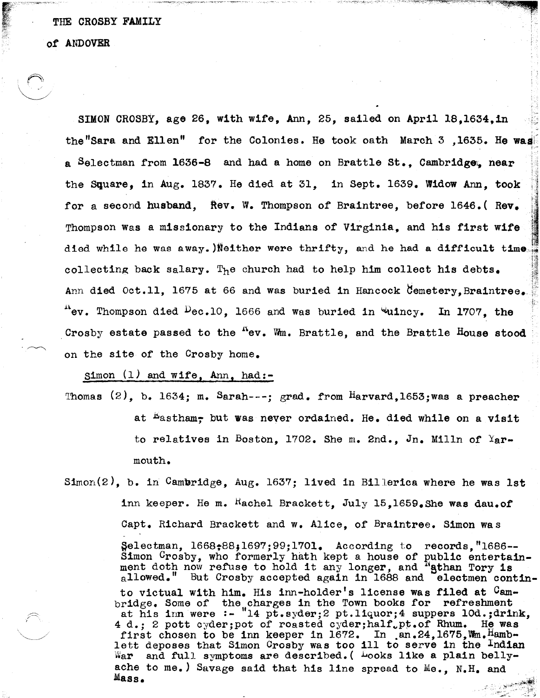## THE CROSBY FAMILY

of ANDOVER

'.~

SIMON CROSBY, age 26, with wife, Ann, 25, sailed on April 18,1634,in the"Sara and Ellen" for the Colonies. He took oath March  $3$  ,1635. He was a Selectman from  $1636-8$  and had a home on Brattle St.. Cambridge. near the Square, in Aug. 1837. He died at 31, in Sept. 1639. Widow Ann, took for a second husband, Rev. W. Thompson of Braintree, before 1646.(Rev. Thompson was a missionary to the Indians of Virginia, and his first wife died while he was away. )Neither were thrifty, and he had a difficult time collecting back salary. The church had to help him collect his debts. Ann died Oct.11, 1675 at 66 and was buried in Hancock Cemetery. Braintree.  $n_{\text{ev}}$ . Thompson died  $\text{Dec.10}$ , 1666 and was buried in wuincy. In 1707, the Crosby estate passed to the  $^{\text{A}}$ ev. Wm. Brattle, and the Brattle House stood on the site of the Crosby home.

'i.-

r~

Simon (1) and wife, Ann, had:-

Thomas  $(2)$ , b. 1634; m. Sarah---; grad. from Harvard, 1653; was a preacher at <sup>Lastham</sup>; but was never ordained. He. died while on a visit to relatives in Boston, 1702. She m. 2nd., Jn. Milln of  $\text{Y}_{\mathbf{a}}$ rmouth.

Simon(2), b. in Cambridge, Aug. 1637; lived in Billerica where he was lst inn keeper. He m.  $^{\text{Rachel}}$  Brackett, July 15,1659. She was dau.of Capt. Richard Brackett and w. Alice, of Braintree. Simon was  $\text{Selectman}, 1668; 88,1697; 99; 1701.$  According to records, "1686--Simon Crosby, who formerly hath kept a house of public entertain-<br>ment doth now refuse to hold it any longer, and "athan Tory is allowed." But Crosby accepted again in 1688 and electmen continto victual with him. His inn-holder's license was filed at Cambridge. Some of the charges in the Town books for refreshment at his inn were :- "14 pt.syder;2 pt.liquor;4 suppers IOd.;drlnk, 4 d.; 2 pott cyder; pot of roasted cyder; half, pt.of Rhum. He was first chosen to be inn keeper in  $1672$ . In  $an.24$ ,  $1675$ , Wm. Hamblett deposes that Simon Crosby was too ill to serve in the Indian War and full symptoms are described. ( Looks like a plain bellyache to me.) Savage said that his line spread to Me., N.H. and Mass.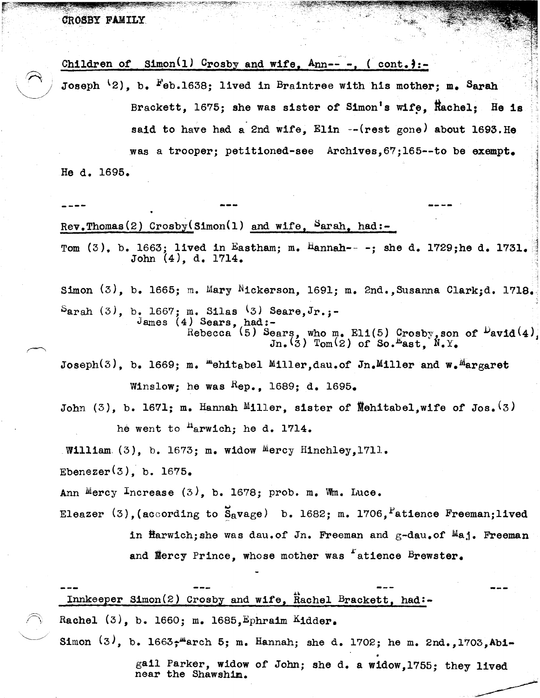$\mathcal{L}=\{z\in\mathcal{L}:\mathcal{L}=\mathcal{L}:\mathcal{L}=\mathcal{L}:\mathcal{L}=\mathcal{L}:\mathcal{L}=\mathcal{L}:\mathcal{L}=\mathcal{L}:\mathcal{L}=\mathcal{L}:\mathcal{L}=\mathcal{L}:\mathcal{L}=\mathcal{L}:\mathcal{L}=\mathcal{L}=\mathcal{L}:\mathcal{L}=\mathcal{L}=\mathcal{L}:\mathcal{L}=\mathcal{L}=\mathcal{L}:\mathcal{L}=\mathcal{L}=\mathcal{L}=\mathcal{L}=\mathcal{L}=\mathcal{L}=\mathcal{L}=\mathcal{L}=\mathcal{L$ 

Children of Simon(1) Crosby and wife, Ann---, (cont.):-<br>Joseph <sup>(</sup>2), b. <sup>F</sup>eb.1638; lived in Braintree with his mother; m. <sup>S</sup>arah Brackett, 1675; she was sister of Simon's wife. Rachel; He is said to have had a 2nd wife,  $Elin$  --(rest gone) about 1693. He was a trooper; petitioned-see Archives,67;165--to be exempt. He d. 1695. **----**  $Rev.$ Thomas(2) Crosby(Simon(1) and wife,  $SarnA$ , had:-Tom (3), b. 1663; lived in Eastham; m. Hannah---; she d. 1729;he d. 1731. John (4), d. 1714. Simon (3), b. 1665; m. Mary Nickerson, 1691; m. 2nd.,Susanna C1arkjd. 1718.  $S$ arah (3), b. 1667; m. Silas (3) Seare, Jr.;-

James (4) Sears, had:-Rebecca (5) Sears, who m. Eli(5) Crosby, son of  $P$ avid $(4)$  $Jn.$  (3)  $Tom(2)$  of So. East,  $N.$   $Y.$ 

Joseph(3), b. 1669; m. "ehitabel Miller,dau.of Jn.Miller and w. "argaret Winslow; he was  $Kep_{\bullet}$ , 1689; d. 1695.

John (3), b. 1671; m. Hannah Miller, sister of Mehitabel.wife of Jos.  $(3)$ he went to <sup>n</sup>arwich; he d. 1714.

William  $(3)$ , b. 1673; m. widow Mercy Hinchley,1711.

Ebenezer $(3)$ , b. 1675.

Ann Mercy Increase  $(3)$ , b. 1678; prob. m. Wm. Luce.

Eleazer (3), (according to  $\bar{S}_R$ vage) b. 1682; m. 1706, <sup>P</sup>atience Freeman;lived

in Harwich;she was dau.of Jn. Freeman and  $g$ -dau.of  $M$ aj. Freeman and Mercy Prince, whose mother was "atience Brewster.

 $Innkeeper$  Simon(2) Crosby and wife, Rachel Brackett, had:-Rachel (3), b. 1660; m. 1685, Ephraim Kidder.

Simon  $(3)$ , b. 1663; "arch 5; m. Hannah; she d. 1702; he m. 2nd.,1703, Abi-

gail Parker, widow *ot* John; she d. a widow,1755; they lived near the Shawshim.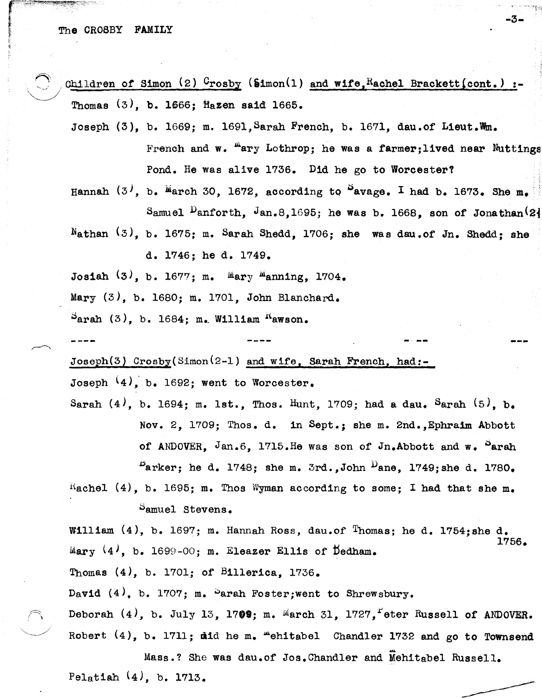Children of Simon (2)  $0$ rosby (Simon(1) and wife, Rachel Brackett (cont.) :-Thomas  $(3)$ , b. 1666; Hazen said 1665.

-3.

Joseph  $(3)$ , b. 1669; m. 1691, Sarah French, b. 1671, dau.of Lieut.Wm. French and w. "ary Lothrop; he was a farmer; lived near Nuttings Pond. He was alive 1736. Did he go to Worcester?

Hannah  $(3^j, b$ . March 30, 1672, according to  $S$ avage. I had b. 1673. She m. Samuel <sup>D</sup>anforth, Jan.8,1695; he was b. 1668, son of Jonathan<sup>(2)</sup>

Nathan  $(3)$ , b. 1675; m. Sarah Shedd, 1706; she was dau.of Jn. Shedd; she d. 1746; he d. 1749.

Josiah  $(3)$ , b. 1677; m. Mary Manning, 1704.

Mary (3), b. 1680; m. 1701, John Blanchard.

 $S<sub>arah</sub>$  (3), b. 1684; m. William  $K<sub>awson</sub>$ .

 $Joseph(3)$  Crosby(Simon<sup>(2-1)</sup> and wife, Sarah French, had:-

Joseph  $(4)$ , b. 1692; went to Worcester.

Sarah  $(4)$ , b. 1694; m. 1st., Thos. Hunt, 1709; had a dau. Sarah  $(5)$ , b. Nov. 2, 1709; Thos. d. in Sept.; she m. 2nd., Ephraim Abbott of ANDOVER. Jan.6. 1715. He was son of Jn. Abbott and  $w_e$  Parah  $P_{\text{arker}}$ ; he d. 1748; she m. 3rd., John  $D_{\text{ano}}$ , 1749; she d. 1780.

Rachel (4), b. 1695; m. Thos Wyman according to some; I had that she m. Samuel Stevens.

William  $(4)$ , b. 1697; m. Hannah Ross, dau.of Thomas; he d. 1754; she d. 1756. Mary  $(4)$ , b. 1699-00; m. Eleazer Ellis of Dedham.

Thomas  $(4)$ , b. 1701; of Billerica, 1736.

David  $(4)$ , b. 1707; m. Sarah Foster; went to Shrewsbury.

Deborah  $(4)$ , b. July 13, 1709; m. March 31, 1727, Feter Russell of ANDOVER. Robert (4), b. 1711; did he m. "ehitabel Chandler 1732 and go to Townsend

Mass.? She was dau.of Jos. Chandler and Mehitabel Russell. Pelatiah  $(4)$ , b. 1713.